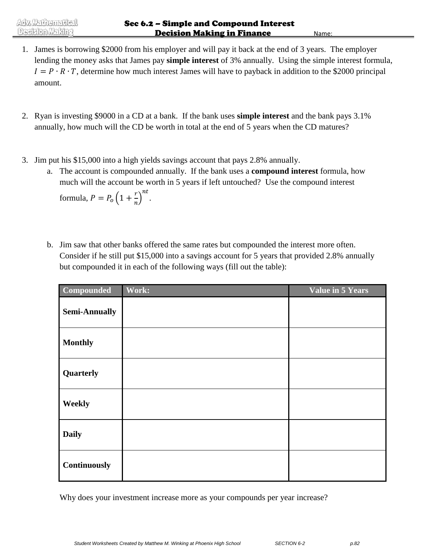- 1. James is borrowing \$2000 from his employer and will pay it back at the end of 3 years. The employer lending the money asks that James pay **simple interest** of 3% annually. Using the simple interest formula,  $I = P \cdot R \cdot T$ , determine how much interest James will have to payback in addition to the \$2000 principal amount.
- 2. Ryan is investing \$9000 in a CD at a bank. If the bank uses **simple interest** and the bank pays 3.1% annually, how much will the CD be worth in total at the end of 5 years when the CD matures?
- 3. Jim put his \$15,000 into a high yields savings account that pays 2.8% annually.
	- a. The account is compounded annually. If the bank uses a **compound interest** formula, how much will the account be worth in 5 years if left untouched? Use the compound interest

formula,  $P = P_o(1 + \frac{r}{a})$  $\left(\frac{r}{n}\right)^{nt}$ .

b. Jim saw that other banks offered the same rates but compounded the interest more often. Consider if he still put \$15,000 into a savings account for 5 years that provided 2.8% annually but compounded it in each of the following ways (fill out the table):

| Compounded           | Work: | Value in 5 Years |
|----------------------|-------|------------------|
| <b>Semi-Annually</b> |       |                  |
| <b>Monthly</b>       |       |                  |
| Quarterly            |       |                  |
| Weekly               |       |                  |
| <b>Daily</b>         |       |                  |
| Continuously         |       |                  |

Why does your investment increase more as your compounds per year increase?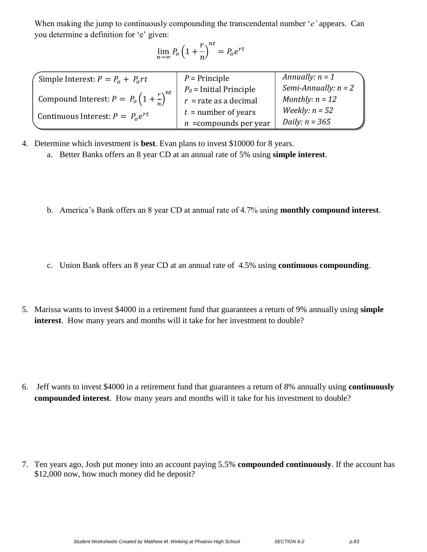When making the jump to continuously compounding the transcendental number '*e'* appears. Can you determine a definition for 'e' given:

$$
\lim_{n\to\infty}P_o\left(1+\frac{r}{n}\right)^{nt}=P_oe^{rt}
$$

| Simple Interest: $P = P_0 + P_0 rt$                            | $P =$ Principle           | Annually: $n = 1$      |
|----------------------------------------------------------------|---------------------------|------------------------|
|                                                                | $P_0$ = Initial Principle | Semi-Annually: $n = 2$ |
| Compound Interest: $P = P_o \left(1 + \frac{r}{r}\right)^{nt}$ | $r =$ rate as a decimal   | Monthly: $n = 12$      |
|                                                                | $t =$ number of years     | Weekly: $n = 52$       |
| Continuous Interest: $P = P_0 e^{rt}$                          | $n =$ compounds per year  | Daily: $n = 365$       |

4. Determine which investment is **best**. Evan plans to invest \$10000 for 8 years.

- a. Better Banks offers an 8 year CD at an annual rate of 5% using **simple interest**.
- b. America's Bank offers an 8 year CD at annual rate of 4.7% using **monthly compound interest**.
- c. Union Bank offers an 8 year CD at an annual rate of 4.5% using **continuous compounding**.
- 5. Marissa wants to invest \$4000 in a retirement fund that guarantees a return of 9% annually using **simple interest**. How many years and months will it take for her investment to double?

6. Jeff wants to invest \$4000 in a retirement fund that guarantees a return of 8% annually using **continuously compounded interest**. How many years and months will it take for his investment to double?

7. Ten years ago, Josh put money into an account paying 5.5% **compounded continuously**. If the account has \$12,000 now, how much money did he deposit?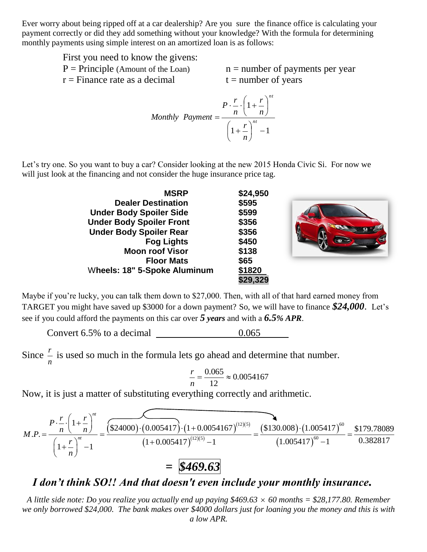Ever worry about being ripped off at a car dealership? Are you sure the finance office is calculating your payment correctly or did they add something without your knowledge? With the formula for determining monthly payments using simple interest on an amortized loan is as follows:

| First you need to know the givens:   |                                   |
|--------------------------------------|-----------------------------------|
| $P = Principle$ (Amount of the Loan) | $n =$ number of payments per year |
| $r =$ Finance rate as a decimal      | $t =$ number of years             |

$$
Monthly\; Payment = \frac{P \cdot \frac{r}{n} \cdot \left(1 + \frac{r}{n}\right)^{nt}}{\left(1 + \frac{r}{n}\right)^{nt}} - 1
$$

Let's try one. So you want to buy a car? Consider looking at the new 2015 Honda Civic Si. For now we will just look at the financing and not consider the huge insurance price tag.

| <b>MSRP</b>                     | \$24,950 |  |
|---------------------------------|----------|--|
| <b>Dealer Destination</b>       | \$595    |  |
| <b>Under Body Spoiler Side</b>  | \$599    |  |
| <b>Under Body Spoiler Front</b> | \$356    |  |
| <b>Under Body Spoiler Rear</b>  | \$356    |  |
| <b>Fog Lights</b>               | \$450    |  |
| <b>Moon roof Visor</b>          | \$138    |  |
| <b>Floor Mats</b>               | \$65     |  |
| Wheels: 18" 5-Spoke Aluminum    | \$1820   |  |
|                                 | \$29,329 |  |

Maybe if you're lucky, you can talk them down to \$27,000. Then, with all of that hard earned money from TARGET you might have saved up \$3000 for a down payment? So, we will have to finance *\$24,000*. Let's see if you could afford the payments on this car over *5 years* and with a *6.5% APR*.

Convert  $6.5\%$  to a decimal  $0.065$ 

Since *n r* is used so much in the formula lets go ahead and determine that number.

$$
\frac{r}{n} = \frac{0.065}{12} \approx 0.0054167
$$

Now, it is just a matter of substituting everything correctly and arithmetic.

Now, it is just a matter of substituting everything correctly and arithmetic.  
\n
$$
M.P. = \frac{P \cdot \frac{r}{n} \cdot \left(1 + \frac{r}{n}\right)^{n}}{\left(1 + \frac{r}{n}\right)^{n} - 1} = \frac{(\$24000) \cdot (0.005417) \cdot (1 + 0.0054167)^{(12)(5)}}{(1 + 0.005417)^{(12)(5)} - 1} = \frac{(\$130.008) \cdot (1.005417)^{60}}{(1.005417)^{60} - 1} = \frac{\$179.78089}{0.382817}
$$
\n
$$
= \$469.63
$$

## *I don't think SO!! And that doesn't even include your monthly insurance.*

*A little side note: Do you realize you actually end up paying \$469.63 60 months = \$28,177.80. Remember we only borrowed \$24,000. The bank makes over \$4000 dollars just for loaning you the money and this is with a low APR.*